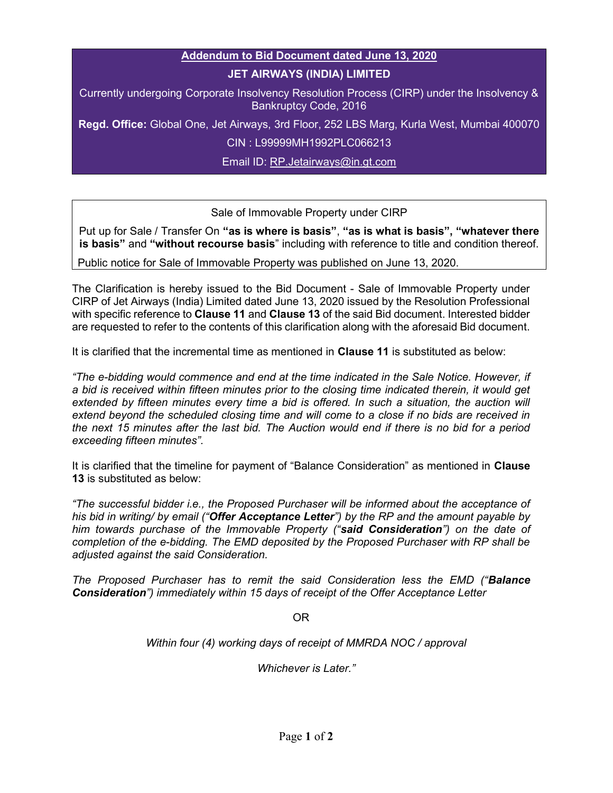## Addendum to Bid Document dated June 13, 2020

## JET AIRWAYS (INDIA) LIMITED

Currently undergoing Corporate Insolvency Resolution Process (CIRP) under the Insolvency & Bankruptcy Code, 2016

Regd. Office: Global One, Jet Airways, 3rd Floor, 252 LBS Marg, Kurla West, Mumbai 400070

CIN : L99999MH1992PLC066213

Email ID: RP.Jetairways@in.gt.com

## Sale of Immovable Property under CIRP

Put up for Sale / Transfer On "as is where is basis", "as is what is basis", "whatever there is basis" and "without recourse basis" including with reference to title and condition thereof.

Public notice for Sale of Immovable Property was published on June 13, 2020.

The Clarification is hereby issued to the Bid Document - Sale of Immovable Property under CIRP of Jet Airways (India) Limited dated June 13, 2020 issued by the Resolution Professional with specific reference to Clause 11 and Clause 13 of the said Bid document. Interested bidder are requested to refer to the contents of this clarification along with the aforesaid Bid document.

It is clarified that the incremental time as mentioned in Clause 11 is substituted as below:

"The e-bidding would commence and end at the time indicated in the Sale Notice. However, if a bid is received within fifteen minutes prior to the closing time indicated therein, it would get extended by fifteen minutes every time a bid is offered. In such a situation, the auction will extend beyond the scheduled closing time and will come to a close if no bids are received in the next 15 minutes after the last bid. The Auction would end if there is no bid for a period exceeding fifteen minutes".

It is clarified that the timeline for payment of "Balance Consideration" as mentioned in Clause 13 is substituted as below:

"The successful bidder i.e., the Proposed Purchaser will be informed about the acceptance of his bid in writing/ by email ("Offer Acceptance Letter") by the RP and the amount payable by him towards purchase of the Immovable Property ("said Consideration") on the date of completion of the e-bidding. The EMD deposited by the Proposed Purchaser with RP shall be adjusted against the said Consideration.

The Proposed Purchaser has to remit the said Consideration less the EMD ("Balance Consideration") immediately within 15 days of receipt of the Offer Acceptance Letter

OR

Within four (4) working days of receipt of MMRDA NOC / approval

Whichever is Later."